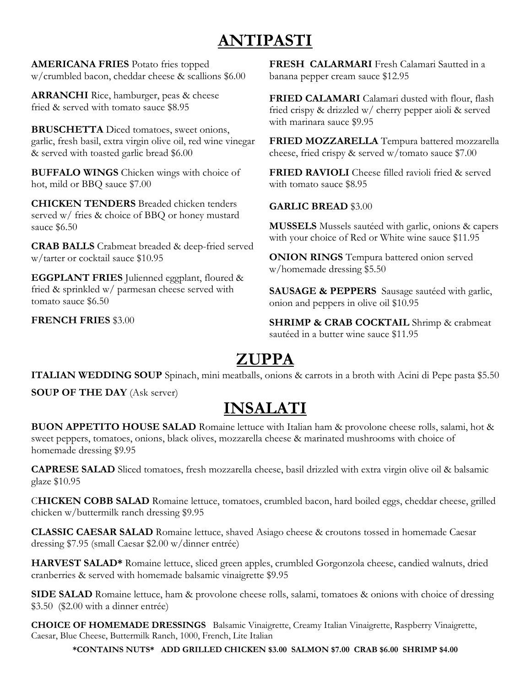# **ANTIPASTI**

**AMERICANA FRIES** Potato fries topped w/crumbled bacon, cheddar cheese & scallions \$6.00

**ARRANCHI** Rice, hamburger, peas & cheese fried & served with tomato sauce \$8.95

**BRUSCHETTA** Diced tomatoes, sweet onions, garlic, fresh basil, extra virgin olive oil, red wine vinegar & served with toasted garlic bread \$6.00

**BUFFALO WINGS** Chicken wings with choice of hot, mild or BBQ sauce \$7.00

**CHICKEN TENDERS** Breaded chicken tenders served w/ fries & choice of BBQ or honey mustard sauce \$6.50

**CRAB BALLS** Crabmeat breaded & deep-fried served w/tarter or cocktail sauce \$10.95

**EGGPLANT FRIES** Julienned eggplant, floured & fried & sprinkled w/ parmesan cheese served with tomato sauce \$6.50

**FRENCH FRIES** \$3.00

**FRESH CALARMARI** Fresh Calamari Sautted in a banana pepper cream sauce \$12.95

**FRIED CALAMARI** Calamari dusted with flour, flash fried crispy & drizzled w/ cherry pepper aioli & served with marinara sauce \$9.95

**FRIED MOZZARELLA** Tempura battered mozzarella cheese, fried crispy & served w/tomato sauce \$7.00

**FRIED RAVIOLI** Cheese filled ravioli fried & served with tomato sauce \$8.95

#### **GARLIC BREAD** \$3.00

**MUSSELS** Mussels sautéed with garlic, onions & capers with your choice of Red or White wine sauce \$11.95

**ONION RINGS** Tempura battered onion served w/homemade dressing \$5.50

**SAUSAGE & PEPPERS** Sausage sautéed with garlic, onion and peppers in olive oil \$10.95

**SHRIMP & CRAB COCKTAIL** Shrimp & crabmeat sautéed in a butter wine sauce \$11.95

# **ZUPPA**

**ITALIAN WEDDING SOUP** Spinach, mini meatballs, onions & carrots in a broth with Acini di Pepe pasta \$5.50

**SOUP OF THE DAY** (Ask server)

# **INSALATI**

**BUON APPETITO HOUSE SALAD** Romaine lettuce with Italian ham & provolone cheese rolls, salami, hot & sweet peppers, tomatoes, onions, black olives, mozzarella cheese & marinated mushrooms with choice of homemade dressing \$9.95

**CAPRESE SALAD** Sliced tomatoes, fresh mozzarella cheese, basil drizzled with extra virgin olive oil & balsamic glaze \$10.95

C**HICKEN COBB SALAD** Romaine lettuce, tomatoes, crumbled bacon, hard boiled eggs, cheddar cheese, grilled chicken w/buttermilk ranch dressing \$9.95

**CLASSIC CAESAR SALAD** Romaine lettuce, shaved Asiago cheese & croutons tossed in homemade Caesar dressing \$7.95 (small Caesar \$2.00 w/dinner entrée)

**HARVEST SALAD\*** Romaine lettuce, sliced green apples, crumbled Gorgonzola cheese, candied walnuts, dried cranberries & served with homemade balsamic vinaigrette \$9.95

**SIDE SALAD** Romaine lettuce, ham & provolone cheese rolls, salami, tomatoes & onions with choice of dressing \$3.50 (\$2.00 with a dinner entrée)

**CHOICE OF HOMEMADE DRESSINGS** Balsamic Vinaigrette, Creamy Italian Vinaigrette, Raspberry Vinaigrette, Caesar, Blue Cheese, Buttermilk Ranch, 1000, French, Lite Italian

**\*CONTAINS NUTS\* ADD GRILLED CHICKEN \$3.00 SALMON \$7.00 CRAB \$6.00 SHRIMP \$4.00**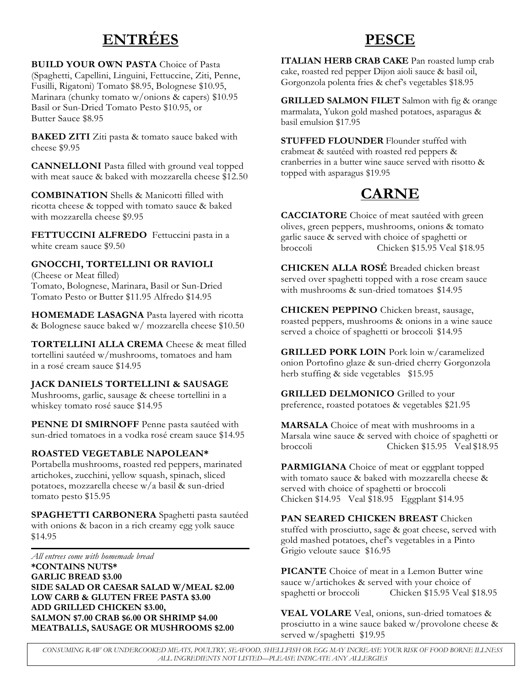## **ENTRÉES**

**BUILD YOUR OWN PASTA** Choice of Pasta (Spaghetti, Capellini, Linguini, Fettuccine, Ziti, Penne, Fusilli, Rigatoni) Tomato \$8.95, Bolognese \$10.95, Marinara (chunky tomato w/onions & capers) \$10.95 Basil or Sun-Dried Tomato Pesto \$10.95, or Butter Sauce \$8.95

**BAKED ZITI** Ziti pasta & tomato sauce baked with cheese \$9.95

**CANNELLONI** Pasta filled with ground veal topped with meat sauce & baked with mozzarella cheese \$12.50

**COMBINATION** Shells & Manicotti filled with ricotta cheese & topped with tomato sauce & baked with mozzarella cheese \$9.95

**FETTUCCINI ALFREDO** Fettuccini pasta in a white cream sauce \$9.50

#### **GNOCCHI, TORTELLINI OR RAVIOLI**

(Cheese or Meat filled) Tomato, Bolognese, Marinara, Basil or Sun-Dried Tomato Pesto or Butter \$11.95 Alfredo \$14.95

**HOMEMADE LASAGNA** Pasta layered with ricotta & Bolognese sauce baked w/ mozzarella cheese \$10.50

**TORTELLINI ALLA CREMA** Cheese & meat filled tortellini sautéed w/mushrooms, tomatoes and ham in a rosé cream sauce \$14.95

#### **JACK DANIELS TORTELLINI & SAUSAGE**

Mushrooms, garlic, sausage & cheese tortellini in a whiskey tomato rosé sauce \$14.95

**PENNE DI SMIRNOFF** Penne pasta sautéed with sun-dried tomatoes in a vodka rosé cream sauce \$14.95

#### **ROASTED VEGETABLE NAPOLEAN\***

Portabella mushrooms, roasted red peppers, marinated artichokes, zucchini, yellow squash, spinach, sliced potatoes, mozzarella cheese w/a basil & sun-dried tomato pesto \$15.95

**SPAGHETTI CARBONERA** Spaghetti pasta sautéed with onions & bacon in a rich creamy egg yolk sauce \$14.95

*All entrees come with homemade bread* **\*CONTAINS NUTS\* GARLIC BREAD \$3.00 SIDE SALAD OR CAESAR SALAD W/MEAL \$2.00 LOW CARB & GLUTEN FREE PASTA \$3.00 ADD GRILLED CHICKEN \$3.00, SALMON \$7.00 CRAB \$6.00 OR SHRIMP \$4.00 MEATBALLS, SAUSAGE OR MUSHROOMS \$2.00** 

## **PESCE**

**ITALIAN HERB CRAB CAKE** Pan roasted lump crab cake, roasted red pepper Dijon aioli sauce & basil oil, Gorgonzola polenta fries & chef's vegetables \$18.95

**GRILLED SALMON FILET** Salmon with fig & orange marmalata, Yukon gold mashed potatoes, asparagus & basil emulsion \$17.95

**STUFFED FLOUNDER** Flounder stuffed with crabmeat & sautéed with roasted red peppers & cranberries in a butter wine sauce served with risotto & topped with asparagus \$19.95

## **CARNE**

**CACCIATORE** Choice of meat sautéed with green olives, green peppers, mushrooms, onions & tomato garlic sauce & served with choice of spaghetti or Chicken \$15.95 Veal \$18.95

**CHICKEN ALLA ROSÉ** Breaded chicken breast served over spaghetti topped with a rose cream sauce with mushrooms & sun-dried tomatoes \$14.95

**CHICKEN PEPPINO** Chicken breast, sausage, roasted peppers, mushrooms & onions in a wine sauce served a choice of spaghetti or broccoli \$14.95

**GRILLED PORK LOIN** Pork loin w/caramelized onion Portofino glaze & sun-dried cherry Gorgonzola herb stuffing & side vegetables \$15.95

**GRILLED DELMONICO** Grilled to your preference, roasted potatoes & vegetables \$21.95

**MARSALA** Choice of meat with mushrooms in a Marsala wine sauce & served with choice of spaghetti or broccoli Chicken \$15.95 Veal \$18.95

**PARMIGIANA** Choice of meat or eggplant topped with tomato sauce & baked with mozzarella cheese & served with choice of spaghetti or broccoli Chicken \$14.95 Veal \$18.95 Eggplant \$14.95

**PAN SEARED CHICKEN BREAST** Chicken stuffed with prosciutto, sage & goat cheese, served with gold mashed potatoes, chef's vegetables in a Pinto Grigio veloute sauce \$16.95

**PICANTE** Choice of meat in a Lemon Butter wine sauce w/artichokes & served with your choice of spaghetti or broccoli Chicken \$15.95 Veal \$18.95

**VEAL VOLARE** Veal, onions, sun-dried tomatoes & prosciutto in a wine sauce baked w/provolone cheese & served w/spaghetti \$19.95

*CONSUMING RAW OR UNDERCOOKED MEATS, POULTRY, SEAFOOD, SHELLFISH OR EGG MAY INCREASE YOUR RISK OF FOOD BORNE ILLNESS ALL INGREDIENTS NOT LISTED—PLEASE INDICATE ANY ALLERGIES*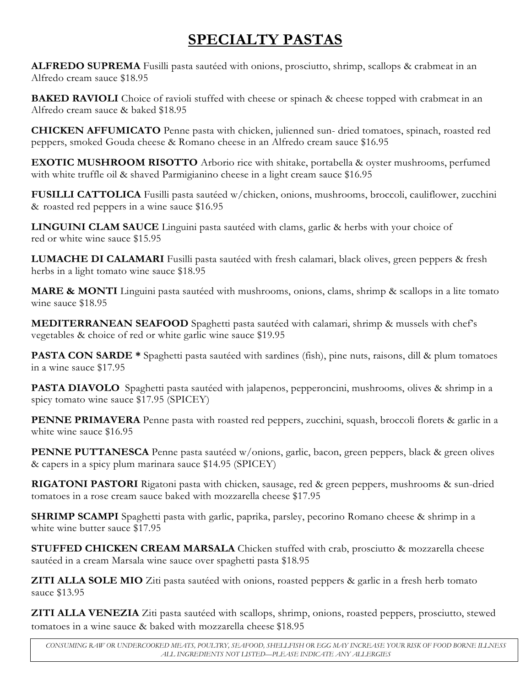## **SPECIALTY PASTAS**

**ALFREDO SUPREMA** Fusilli pasta sautéed with onions, prosciutto, shrimp, scallops & crabmeat in an Alfredo cream sauce \$18.95

**BAKED RAVIOLI** Choice of ravioli stuffed with cheese or spinach & cheese topped with crabmeat in an Alfredo cream sauce & baked \$18.95

**CHICKEN AFFUMICATO** Penne pasta with chicken, julienned sun- dried tomatoes, spinach, roasted red peppers, smoked Gouda cheese & Romano cheese in an Alfredo cream sauce \$16.95

**EXOTIC MUSHROOM RISOTTO** Arborio rice with shitake, portabella & oyster mushrooms, perfumed with white truffle oil & shaved Parmigianino cheese in a light cream sauce \$16.95

**FUSILLI CATTOLICA** Fusilli pasta sautéed w/chicken, onions, mushrooms, broccoli, cauliflower, zucchini & roasted red peppers in a wine sauce \$16.95

**LINGUINI CLAM SAUCE** Linguini pasta sautéed with clams, garlic & herbs with your choice of red or white wine sauce \$15.95

**LUMACHE DI CALAMARI** Fusilli pasta sautéed with fresh calamari, black olives, green peppers & fresh herbs in a light tomato wine sauce \$18.95

**MARE & MONTI** Linguini pasta sautéed with mushrooms, onions, clams, shrimp & scallops in a lite tomato wine sauce \$18.95

**MEDITERRANEAN SEAFOOD** Spaghetti pasta sautéed with calamari, shrimp & mussels with chef's vegetables & choice of red or white garlic wine sauce \$19.95

**PASTA CON SARDE \*** Spaghetti pasta sautéed with sardines (fish), pine nuts, raisons, dill & plum tomatoes in a wine sauce \$17.95

**PASTA DIAVOLO** Spaghetti pasta sautéed with jalapenos, pepperoncini, mushrooms, olives & shrimp in a spicy tomato wine sauce \$17.95 (SPICEY)

PENNE PRIMAVERA Penne pasta with roasted red peppers, zucchini, squash, broccoli florets & garlic in a white wine sauce \$16.95

**PENNE PUTTANESCA** Penne pasta sautéed w/onions, garlic, bacon, green peppers, black & green olives & capers in a spicy plum marinara sauce \$14.95 (SPICEY)

**RIGATONI PASTORI** Rigatoni pasta with chicken, sausage, red & green peppers, mushrooms & sun-dried tomatoes in a rose cream sauce baked with mozzarella cheese \$17.95

**SHRIMP SCAMPI** Spaghetti pasta with garlic, paprika, parsley, pecorino Romano cheese & shrimp in a white wine butter sauce \$17.95

**STUFFED CHICKEN CREAM MARSALA** Chicken stuffed with crab, prosciutto & mozzarella cheese sautéed in a cream Marsala wine sauce over spaghetti pasta \$18.95

**ZITI ALLA SOLE MIO** Ziti pasta sautéed with onions, roasted peppers & garlic in a fresh herb tomato sauce \$13.95

**ZITI ALLA VENEZIA** Ziti pasta sautéed with scallops, shrimp, onions, roasted peppers, prosciutto, stewed tomatoes in a wine sauce & baked with mozzarella cheese \$18.95

*CONSUMING RAW OR UNDERCOOKED MEATS, POULTRY, SEAFOOD, SHELLFISH OR EGG MAY INCREASE YOUR RISK OF FOOD BORNE ILLNESS ALL INGREDIENTS NOT LISTED—PLEASE INDICATE ANY ALLERGIES*